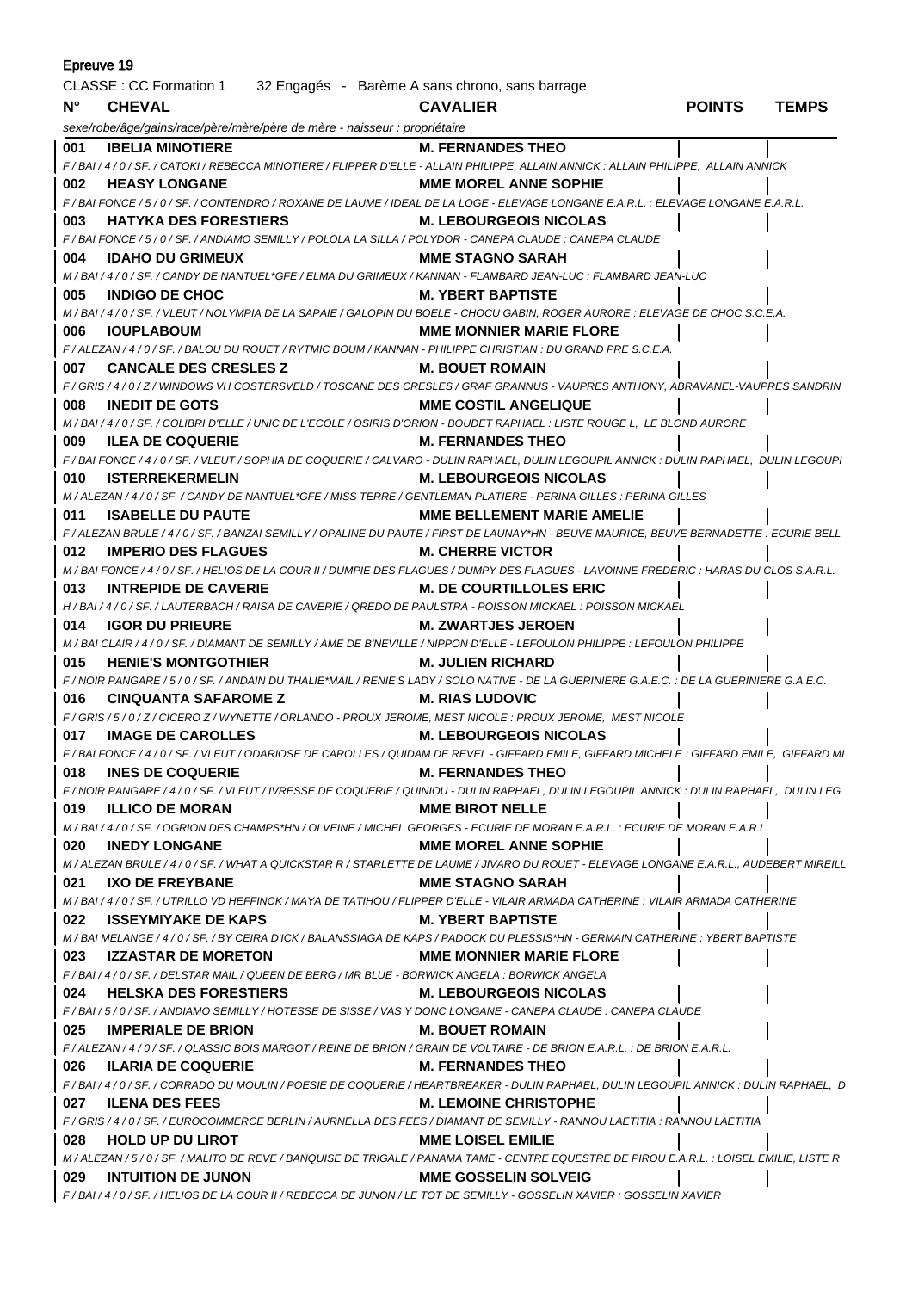| Epreuve 19                                                              |                                                                                                                                                                      |                                   |               |              |
|-------------------------------------------------------------------------|----------------------------------------------------------------------------------------------------------------------------------------------------------------------|-----------------------------------|---------------|--------------|
| CLASSE : CC Formation 1 32 Engagés - Barème A sans chrono, sans barrage |                                                                                                                                                                      |                                   |               |              |
| $N^{\circ}$                                                             | <b>CHEVAL</b>                                                                                                                                                        | <b>CAVALIER</b>                   | <b>POINTS</b> | <b>TEMPS</b> |
|                                                                         | sexe/robe/âge/gains/race/père/mère/père de mère - naisseur : propriétaire                                                                                            |                                   |               |              |
| 001                                                                     | <b>IBELIA MINOTIERE</b>                                                                                                                                              | <b>M. FERNANDES THEO</b>          |               |              |
|                                                                         | F/BAI/4/0/SF./CATOKI/REBECCA MINOTIERE/FLIPPER D'ELLE - ALLAIN PHILIPPE, ALLAIN ANNICK : ALLAIN PHILIPPE, ALLAIN ANNICK                                              |                                   |               |              |
| 002                                                                     | <b>HEASY LONGANE</b>                                                                                                                                                 | <b>MME MOREL ANNE SOPHIE</b>      |               |              |
|                                                                         | F/BAI FONCE/5/0/SF./CONTENDRO/ROXANE DE LAUME/IDEAL DE LA LOGE - ELEVAGE LONGANE E.A.R.L. : ELEVAGE LONGANE E.A.R.L.                                                 |                                   |               |              |
| 003                                                                     | <b>HATYKA DES FORESTIERS</b>                                                                                                                                         | <b>M. LEBOURGEOIS NICOLAS</b>     |               |              |
|                                                                         | F/BAI FONCE/5/0/SF./ANDIAMO SEMILLY/POLOLA LA SILLA/POLYDOR - CANEPA CLAUDE : CANEPA CLAUDE                                                                          |                                   |               |              |
| 004                                                                     | <b>IDAHO DU GRIMEUX</b>                                                                                                                                              | MME STAGNO SARAH                  |               |              |
|                                                                         | M / BAI / 4 / 0 / SF. / CANDY DE NANTUEL*GFE / ELMA DU GRIMEUX / KANNAN - FLAMBARD JEAN-LUC : FLAMBARD JEAN-LUC                                                      |                                   |               |              |
| 005                                                                     | <b>INDIGO DE CHOC</b>                                                                                                                                                | <b>M. YBERT BAPTISTE</b>          |               |              |
|                                                                         | M / BAI / 4 / 0 / SF. / VLEUT / NOLYMPIA DE LA SAPAIE / GALOPIN DU BOELE - CHOCU GABIN, ROGER AURORE : ELEVAGE DE CHOC S.C.E.A.                                      |                                   |               |              |
| 006                                                                     | <b>IOUPLABOUM</b>                                                                                                                                                    | <b>MME MONNIER MARIE FLORE</b>    |               |              |
|                                                                         | F / ALEZAN / 4 / 0 / SF. / BALOU DU ROUET / RYTMIC BOUM / KANNAN - PHILIPPE CHRISTIAN : DU GRAND PRE S.C.E.A.                                                        |                                   |               |              |
| 007                                                                     | CANCALE DES CRESLES Z M. BOUET ROMAIN                                                                                                                                |                                   |               |              |
|                                                                         | F/GRIS/4/0/Z/WINDOWS VH COSTERSVELD/TOSCANE DES CRESLES/GRAF GRANNUS - VAUPRES ANTHONY, ABRAVANEL-VAUPRES SANDRIN                                                    |                                   |               |              |
| 008                                                                     | <b>INEDIT DE GOTS</b>                                                                                                                                                | <b>MME COSTIL ANGELIQUE</b>       |               |              |
|                                                                         | M / BAI / 4 / 0 / SF. / COLIBRI D'ELLE / UNIC DE L'ECOLE / OSIRIS D'ORION - BOUDET RAPHAEL : LISTE ROUGE L, LE BLOND AURORE                                          |                                   |               |              |
| 009                                                                     | <b>ILEA DE COQUERIE</b>                                                                                                                                              | <b>M. FERNANDES THEO</b>          |               |              |
|                                                                         | F/BAI FONCE/4/0/SF./VLEUT/SOPHIA DE COQUERIE/CALVARO - DULIN RAPHAEL, DULIN LEGOUPIL ANNICK : DULIN RAPHAEL, DULIN LEGOUPI                                           |                                   |               |              |
| 010                                                                     | <b>ISTERREKERMELIN</b>                                                                                                                                               | <b>M. LEBOURGEOIS NICOLAS</b>     |               |              |
|                                                                         | M / ALEZAN / 4 / 0 / SF. / CANDY DE NANTUEL*GFE / MISS TERRE / GENTLEMAN PLATIERE - PERINA GILLES : PERINA GILLES                                                    |                                   |               |              |
| 011                                                                     | <b>ISABELLE DU PAUTE</b>                                                                                                                                             | <b>MME BELLEMENT MARIE AMELIE</b> |               |              |
|                                                                         | F / ALEZAN BRULE / 4 / 0 / SF. / BANZAI SEMILLY / OPALINE DU PAUTE / FIRST DE LAUNAY*HN - BEUVE MAURICE, BEUVE BERNADETTE : ECURIE BELL                              |                                   |               |              |
| 012                                                                     | <b>IMPERIO DES FLAGUES</b>                                                                                                                                           | <b>M. CHERRE VICTOR</b>           |               |              |
|                                                                         | M / BAI FONCE / 4 / 0 / SF. / HELIOS DE LA COUR II / DUMPIE DES FLAGUES / DUMPY DES FLAGUES - LAVOINNE FREDERIC : HARAS DU CLOS S.A.R.L.                             |                                   |               |              |
| 013                                                                     | <b>INTREPIDE DE CAVERIE</b>                                                                                                                                          | M. DE COURTILLOLES ERIC           |               |              |
|                                                                         | H / BAI / 4 / 0 / SF. / LAUTERBACH / RAISA DE CAVERIE / QREDO DE PAULSTRA - POISSON MICKAEL : POISSON MICKAEL                                                        |                                   |               |              |
| 014                                                                     | <b>IGOR DU PRIEURE</b>                                                                                                                                               | <b>M. ZWARTJES JEROEN</b>         |               |              |
| 015                                                                     | M / BAI CLAIR / 4 / 0 / SF. / DIAMANT DE SEMILLY / AME DE B'NEVILLE / NIPPON D'ELLE - LEFOULON PHILIPPE : LEFOULON PHILIPPE<br>HENIE'S MONTGOTHIER M. JULIEN RICHARD |                                   |               |              |
|                                                                         | F / NOIR PANGARE / 5 / 0 / SF. / ANDAIN DU THALIE*MAIL / RENIE'S LADY / SOLO NATIVE - DE LA GUERINIERE G.A.E.C. : DE LA GUERINIERE G.A.E.C.                          |                                   |               |              |
| 016                                                                     | <b>CINQUANTA SAFAROME Z</b>                                                                                                                                          | <b>M. RIAS LUDOVIC</b>            |               |              |
|                                                                         | F/GRIS/5/0/Z/CICERO Z/WYNETTE/ORLANDO - PROUX JEROME, MEST NICOLE : PROUX JEROME, MEST NICOLE                                                                        |                                   |               |              |
| 017                                                                     | <b>IMAGE DE CAROLLES</b>                                                                                                                                             | <b>M. LEBOURGEOIS NICOLAS</b>     |               |              |
|                                                                         | F / BAI FONCE / 4 / 0 / SF. / VLEUT / ODARIOSE DE CAROLLES / QUIDAM DE REVEL - GIFFARD EMILE, GIFFARD MICHELE : GIFFARD EMILE, GIFFARD MI                            |                                   |               |              |
| 018                                                                     | <b>INES DE COQUERIE</b>                                                                                                                                              | <b>M. FERNANDES THEO</b>          |               |              |
|                                                                         | F / NOIR PANGARE / 4 / 0 / SF. / VLEUT / IVRESSE DE COQUERIE / QUINIOU - DULIN RAPHAEL, DULIN LEGOUPIL ANNICK : DULIN RAPHAEL, DULIN LEG                             |                                   |               |              |
| 019                                                                     | <b>ILLICO DE MORAN</b>                                                                                                                                               | <b>MME BIROT NELLE</b>            |               |              |
|                                                                         | M / BAI / 4 / 0 / SF. / OGRION DES CHAMPS*HN / OLVEINE / MICHEL GEORGES - ECURIE DE MORAN E.A.R.L. : ECURIE DE MORAN E.A.R.L.                                        |                                   |               |              |
| 020                                                                     | <b>INEDY LONGANE</b>                                                                                                                                                 | <b>MME MOREL ANNE SOPHIE</b>      |               |              |
|                                                                         | M / ALEZAN BRULE / 4 / 0 / SF. / WHAT A QUICKSTAR R / STARLETTE DE LAUME / JIVARO DU ROUET - ELEVAGE LONGANE E.A.R.L., AUDEBERT MIREILL                              |                                   |               |              |
| 021                                                                     | <b>IXO DE FREYBANE</b>                                                                                                                                               | <b>MME STAGNO SARAH</b>           |               |              |
|                                                                         | M / BAI / 4 / 0 / SF. / UTRILLO VD HEFFINCK / MAYA DE TATIHOU / FLIPPER D'ELLE - VILAIR ARMADA CATHERINE : VILAIR ARMADA CATHERINE                                   |                                   |               |              |
| 022                                                                     | <b>ISSEYMIYAKE DE KAPS</b>                                                                                                                                           | <b>M. YBERT BAPTISTE</b>          |               |              |
|                                                                         | M / BAI MELANGE / 4 / 0 / SF. / BY CEIRA D'ICK / BALANSSIAGA DE KAPS / PADOCK DU PLESSIS*HN - GERMAIN CATHERINE : YBERT BAPTISTE                                     |                                   |               |              |
| 023                                                                     | <b>IZZASTAR DE MORETON</b>                                                                                                                                           | <b>MME MONNIER MARIE FLORE</b>    |               |              |
|                                                                         | F/BAI/4/0/SF./DELSTAR MAIL/QUEEN DE BERG/MR BLUE - BORWICK ANGELA : BORWICK ANGELA                                                                                   |                                   |               |              |
| 024                                                                     | <b>HELSKA DES FORESTIERS</b>                                                                                                                                         | <b>M. LEBOURGEOIS NICOLAS</b>     |               |              |
|                                                                         | F / BAI / 5 / 0 / SF. / ANDIAMO SEMILLY / HOTESSE DE SISSE / VAS Y DONC LONGANE - CANEPA CLAUDE : CANEPA CLAUDE                                                      |                                   |               |              |
| 025                                                                     | <b>IMPERIALE DE BRION</b>                                                                                                                                            | <b>M. BOUET ROMAIN</b>            |               |              |
|                                                                         | F / ALEZAN / 4 / 0 / SF. / QLASSIC BOIS MARGOT / REINE DE BRION / GRAIN DE VOLTAIRE - DE BRION E.A.R.L. : DE BRION E.A.R.L.                                          |                                   |               |              |
| 026                                                                     | <b>ILARIA DE COQUERIE</b>                                                                                                                                            | <b>M. FERNANDES THEO</b>          |               |              |
|                                                                         | F / BAI / 4 / 0 / SF. / CORRADO DU MOULIN / POESIE DE COQUERIE / HEARTBREAKER - DULIN RAPHAEL, DULIN LEGOUPIL ANNICK : DULIN RAPHAEL, D                              |                                   |               |              |
| <b>ILENA DES FEES</b><br><b>M. LEMOINE CHRISTOPHE</b><br>027            |                                                                                                                                                                      |                                   |               |              |
|                                                                         | F / GRIS / 4 / 0 / SF. / EUROCOMMERCE BERLIN / AURNELLA DES FEES / DIAMANT DE SEMILLY - RANNOU LAETITIA : RANNOU LAETITIA                                            |                                   |               |              |
| 028                                                                     | <b>HOLD UP DU LIROT</b>                                                                                                                                              | <b>MME LOISEL EMILIE</b>          |               |              |
|                                                                         | M / ALEZAN / 5 / 0 / SF. / MALITO DE REVE / BANQUISE DE TRIGALE / PANAMA TAME - CENTRE EQUESTRE DE PIROU E.A.R.L. : LOISEL EMILIE, LISTE R                           |                                   |               |              |
| 029                                                                     | <b>INTUITION DE JUNON</b>                                                                                                                                            | <b>MME GOSSELIN SOLVEIG</b>       |               |              |
|                                                                         | F/BAI/4/0/SF./HELIOS DE LA COUR II/REBECCA DE JUNON/LE TOT DE SEMILLY - GOSSELIN XAVIER : GOSSELIN XAVIER                                                            |                                   |               |              |